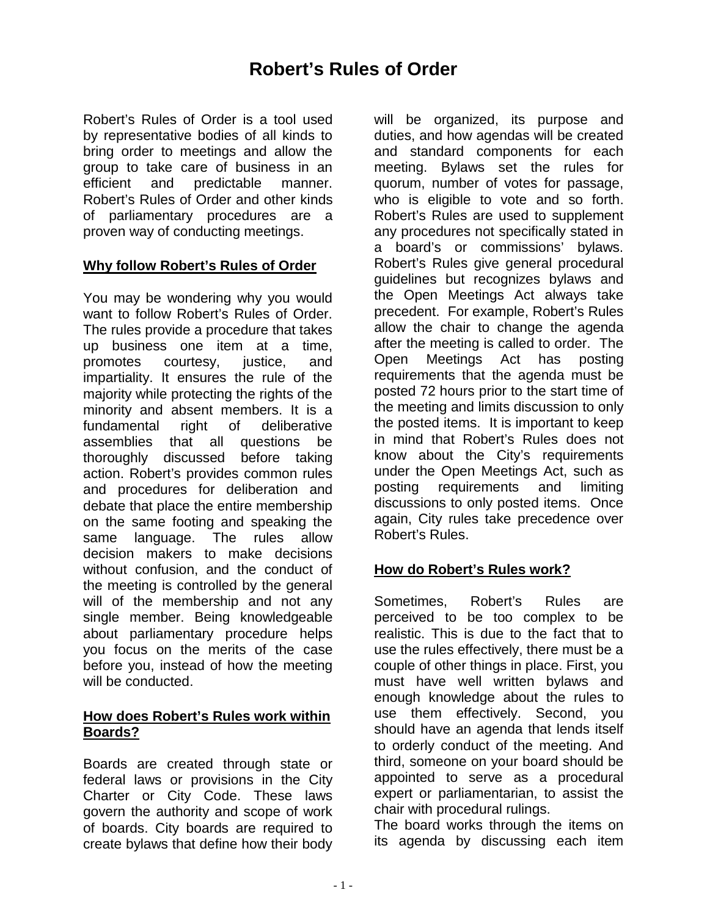# **Robert's Rules of Order**

Robert's Rules of Order is a tool used by representative bodies of all kinds to bring order to meetings and allow the group to take care of business in an efficient and predictable manner. Robert's Rules of Order and other kinds of parliamentary procedures are a proven way of conducting meetings.

### **Why follow Robert's Rules of Order**

You may be wondering why you would want to follow Robert's Rules of Order. The rules provide a procedure that takes up business one item at a time, promotes courtesy, justice, and impartiality. It ensures the rule of the majority while protecting the rights of the minority and absent members. It is a fundamental right of deliberative assemblies that all questions be thoroughly discussed before taking action. Robert's provides common rules and procedures for deliberation and debate that place the entire membership on the same footing and speaking the same language. The rules allow decision makers to make decisions without confusion, and the conduct of the meeting is controlled by the general will of the membership and not any single member. Being knowledgeable about parliamentary procedure helps you focus on the merits of the case before you, instead of how the meeting will be conducted.

#### **How does Robert's Rules work within Boards?**

Boards are created through state or federal laws or provisions in the City Charter or City Code. These laws govern the authority and scope of work of boards. City boards are required to create bylaws that define how their body

will be organized, its purpose and duties, and how agendas will be created and standard components for each meeting. Bylaws set the rules for quorum, number of votes for passage, who is eligible to vote and so forth. Robert's Rules are used to supplement any procedures not specifically stated in a board's or commissions' bylaws. Robert's Rules give general procedural guidelines but recognizes bylaws and the Open Meetings Act always take precedent. For example, Robert's Rules allow the chair to change the agenda after the meeting is called to order. The Open Meetings Act has posting requirements that the agenda must be posted 72 hours prior to the start time of the meeting and limits discussion to only the posted items. It is important to keep in mind that Robert's Rules does not know about the City's requirements under the Open Meetings Act, such as posting requirements and limiting discussions to only posted items. Once again, City rules take precedence over Robert's Rules.

## **How do Robert's Rules work?**

Sometimes, Robert's Rules are perceived to be too complex to be realistic. This is due to the fact that to use the rules effectively, there must be a couple of other things in place. First, you must have well written bylaws and enough knowledge about the rules to use them effectively. Second, you should have an agenda that lends itself to orderly conduct of the meeting. And third, someone on your board should be appointed to serve as a procedural expert or parliamentarian, to assist the chair with procedural rulings.

The board works through the items on its agenda by discussing each item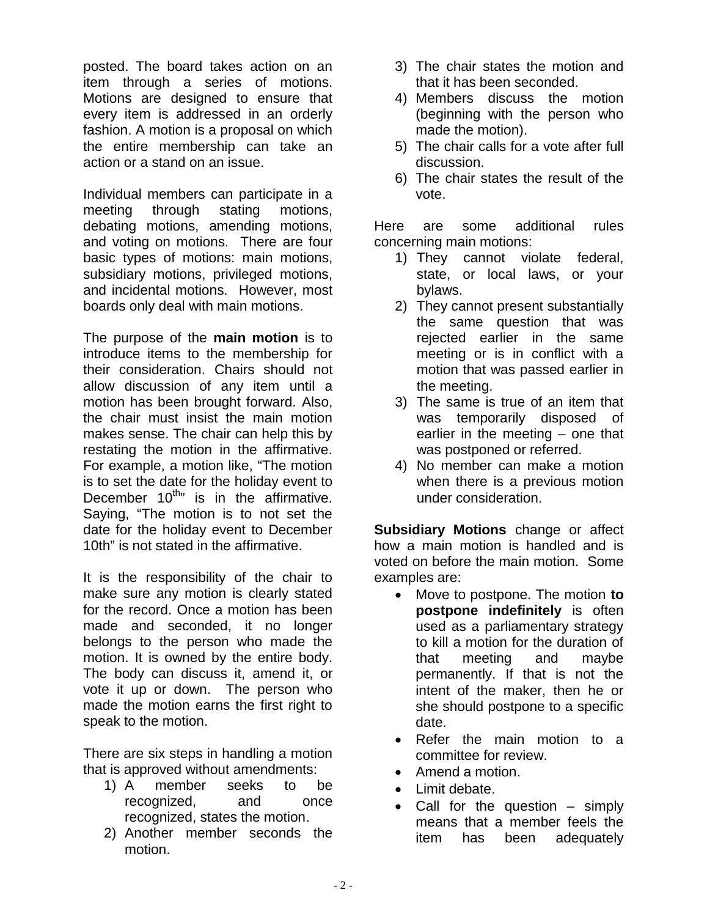posted. The board takes action on an item through a series of motions. Motions are designed to ensure that every item is addressed in an orderly fashion. A motion is a proposal on which the entire membership can take an action or a stand on an issue.

Individual members can participate in a meeting through stating motions, debating motions, amending motions, and voting on motions. There are four basic types of motions: main motions, subsidiary motions, privileged motions, and incidental motions. However, most boards only deal with main motions.

The purpose of the **main motion** is to introduce items to the membership for their consideration. Chairs should not allow discussion of any item until a motion has been brought forward. Also, the chair must insist the main motion makes sense. The chair can help this by restating the motion in the affirmative. For example, a motion like, "The motion is to set the date for the holiday event to December  $10^{th}$  is in the affirmative. Saying, "The motion is to not set the date for the holiday event to December 10th" is not stated in the affirmative.

It is the responsibility of the chair to make sure any motion is clearly stated for the record. Once a motion has been made and seconded, it no longer belongs to the person who made the motion. It is owned by the entire body. The body can discuss it, amend it, or vote it up or down. The person who made the motion earns the first right to speak to the motion.

There are six steps in handling a motion that is approved without amendments:

- 1) A member seeks to be recognized, and once recognized, states the motion.
- 2) Another member seconds the motion.
- 3) The chair states the motion and that it has been seconded.
- 4) Members discuss the motion (beginning with the person who made the motion).
- 5) The chair calls for a vote after full discussion.
- 6) The chair states the result of the vote.

Here are some additional rules concerning main motions:

- 1) They cannot violate federal, state, or local laws, or your bylaws.
- 2) They cannot present substantially the same question that was rejected earlier in the same meeting or is in conflict with a motion that was passed earlier in the meeting.
- 3) The same is true of an item that was temporarily disposed of earlier in the meeting – one that was postponed or referred.
- 4) No member can make a motion when there is a previous motion under consideration.

**Subsidiary Motions** change or affect how a main motion is handled and is voted on before the main motion. Some examples are:

- Move to postpone. The motion **to postpone indefinitely** is often used as a parliamentary strategy to kill a motion for the duration of that meeting and maybe permanently. If that is not the intent of the maker, then he or she should postpone to a specific date.
- Refer the main motion to a committee for review.
- Amend a motion.
- Limit debate.
- Call for the question simply means that a member feels the item has been adequately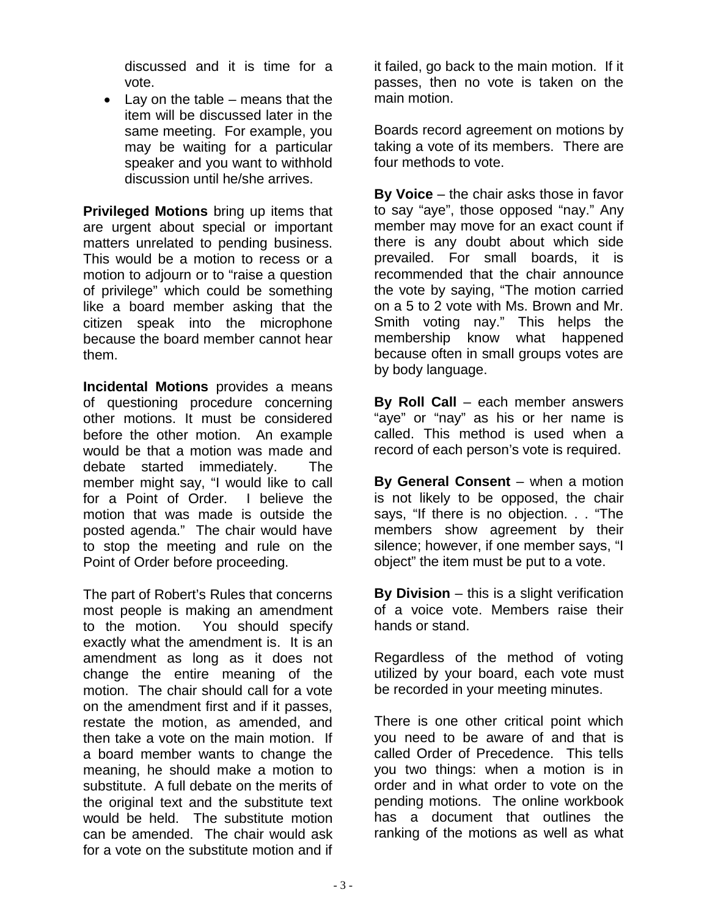discussed and it is time for a vote.

 $\bullet$  Lay on the table – means that the item will be discussed later in the same meeting. For example, you may be waiting for a particular speaker and you want to withhold discussion until he/she arrives.

**Privileged Motions** bring up items that are urgent about special or important matters unrelated to pending business. This would be a motion to recess or a motion to adjourn or to "raise a question of privilege" which could be something like a board member asking that the citizen speak into the microphone because the board member cannot hear them.

**Incidental Motions** provides a means of questioning procedure concerning other motions. It must be considered before the other motion. An example would be that a motion was made and debate started immediately. The member might say, "I would like to call for a Point of Order. I believe the motion that was made is outside the posted agenda." The chair would have to stop the meeting and rule on the Point of Order before proceeding.

The part of Robert's Rules that concerns most people is making an amendment to the motion. You should specify exactly what the amendment is. It is an amendment as long as it does not change the entire meaning of the motion. The chair should call for a vote on the amendment first and if it passes, restate the motion, as amended, and then take a vote on the main motion. If a board member wants to change the meaning, he should make a motion to substitute. A full debate on the merits of the original text and the substitute text would be held. The substitute motion can be amended. The chair would ask for a vote on the substitute motion and if

it failed, go back to the main motion. If it passes, then no vote is taken on the main motion.

Boards record agreement on motions by taking a vote of its members. There are four methods to vote.

**By Voice** – the chair asks those in favor to say "aye", those opposed "nay." Any member may move for an exact count if there is any doubt about which side prevailed. For small boards, it is recommended that the chair announce the vote by saying, "The motion carried on a 5 to 2 vote with Ms. Brown and Mr. Smith voting nay." This helps the membership know what happened because often in small groups votes are by body language.

**By Roll Call** – each member answers "aye" or "nay" as his or her name is called. This method is used when a record of each person's vote is required.

**By General Consent** – when a motion is not likely to be opposed, the chair says, "If there is no objection. . . "The members show agreement by their silence; however, if one member says, "I object" the item must be put to a vote.

**By Division** – this is a slight verification of a voice vote. Members raise their hands or stand.

Regardless of the method of voting utilized by your board, each vote must be recorded in your meeting minutes.

There is one other critical point which you need to be aware of and that is called Order of Precedence. This tells you two things: when a motion is in order and in what order to vote on the pending motions. The online workbook has a document that outlines the ranking of the motions as well as what